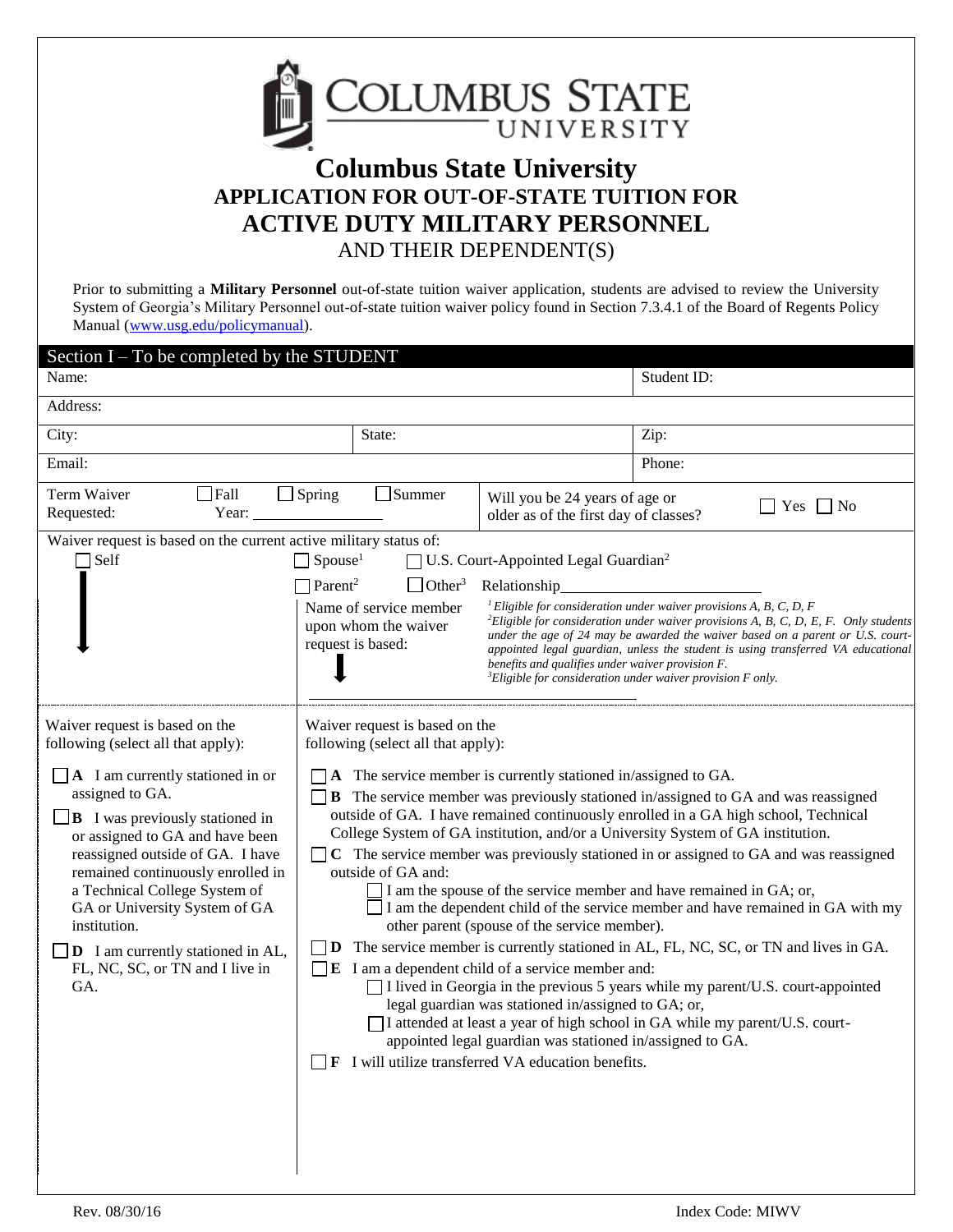

# **Columbus State University APPLICATION FOR OUT-OF-STATE TUITION FOR ACTIVE DUTY MILITARY PERSONNEL** AND THEIR DEPENDENT(S)

Prior to submitting a **Military Personnel** out-of-state tuition waiver application, students are advised to review the University System of Georgia's Military Personnel out-of-state tuition waiver policy found in Section 7.3.4.1 of the Board of Regents Policy Manual [\(www.usg.edu/policymanual\)](http://www.usg.edu/policymanual).

| Section I – To be completed by the STUDENT                                                                                                                                                                                                                                                                                                                                                                                                                              |                                                                                                                                                                                                                                                                                                                                                                                                                                                                                                                                                                                                                                                                                                                                                                                                                                                                                                                                                                                                                                                                                                                                                                                                                                                                    |                                                                                                                      |                                                                                                                                                                                                                                                                                                                                                                                                                              |  |
|-------------------------------------------------------------------------------------------------------------------------------------------------------------------------------------------------------------------------------------------------------------------------------------------------------------------------------------------------------------------------------------------------------------------------------------------------------------------------|--------------------------------------------------------------------------------------------------------------------------------------------------------------------------------------------------------------------------------------------------------------------------------------------------------------------------------------------------------------------------------------------------------------------------------------------------------------------------------------------------------------------------------------------------------------------------------------------------------------------------------------------------------------------------------------------------------------------------------------------------------------------------------------------------------------------------------------------------------------------------------------------------------------------------------------------------------------------------------------------------------------------------------------------------------------------------------------------------------------------------------------------------------------------------------------------------------------------------------------------------------------------|----------------------------------------------------------------------------------------------------------------------|------------------------------------------------------------------------------------------------------------------------------------------------------------------------------------------------------------------------------------------------------------------------------------------------------------------------------------------------------------------------------------------------------------------------------|--|
| Name:                                                                                                                                                                                                                                                                                                                                                                                                                                                                   |                                                                                                                                                                                                                                                                                                                                                                                                                                                                                                                                                                                                                                                                                                                                                                                                                                                                                                                                                                                                                                                                                                                                                                                                                                                                    |                                                                                                                      | Student ID:                                                                                                                                                                                                                                                                                                                                                                                                                  |  |
| Address:                                                                                                                                                                                                                                                                                                                                                                                                                                                                |                                                                                                                                                                                                                                                                                                                                                                                                                                                                                                                                                                                                                                                                                                                                                                                                                                                                                                                                                                                                                                                                                                                                                                                                                                                                    |                                                                                                                      |                                                                                                                                                                                                                                                                                                                                                                                                                              |  |
| City:                                                                                                                                                                                                                                                                                                                                                                                                                                                                   | State:                                                                                                                                                                                                                                                                                                                                                                                                                                                                                                                                                                                                                                                                                                                                                                                                                                                                                                                                                                                                                                                                                                                                                                                                                                                             |                                                                                                                      | Zip:                                                                                                                                                                                                                                                                                                                                                                                                                         |  |
| Email:                                                                                                                                                                                                                                                                                                                                                                                                                                                                  |                                                                                                                                                                                                                                                                                                                                                                                                                                                                                                                                                                                                                                                                                                                                                                                                                                                                                                                                                                                                                                                                                                                                                                                                                                                                    |                                                                                                                      | Phone:                                                                                                                                                                                                                                                                                                                                                                                                                       |  |
| Term Waiver<br>Fall<br>Requested:<br>Year:                                                                                                                                                                                                                                                                                                                                                                                                                              | Summer<br>$\Box$ Spring                                                                                                                                                                                                                                                                                                                                                                                                                                                                                                                                                                                                                                                                                                                                                                                                                                                                                                                                                                                                                                                                                                                                                                                                                                            | Will you be 24 years of age or<br>$\Box$ Yes $\Box$ No<br>older as of the first day of classes?                      |                                                                                                                                                                                                                                                                                                                                                                                                                              |  |
| Waiver request is based on the current active military status of:<br>$\Box$ Self                                                                                                                                                                                                                                                                                                                                                                                        | $\Box$ Spouse <sup>1</sup><br>$\Box$ Parent <sup>2</sup><br>$\Box$ Other <sup>3</sup><br>Name of service member<br>upon whom the waiver<br>request is based:                                                                                                                                                                                                                                                                                                                                                                                                                                                                                                                                                                                                                                                                                                                                                                                                                                                                                                                                                                                                                                                                                                       | U.S. Court-Appointed Legal Guardian <sup>2</sup><br>Relationship<br>benefits and qualifies under waiver provision F. | <sup>1</sup> Eligible for consideration under waiver provisions A, B, C, D, F<br><sup>2</sup> Eligible for consideration under waiver provisions A, B, C, D, E, F. Only students<br>under the age of 24 may be awarded the waiver based on a parent or U.S. court-<br>appointed legal guardian, unless the student is using transferred VA educational<br>${}^{3}$ Eligible for consideration under waiver provision F only. |  |
| Waiver request is based on the<br>following (select all that apply):<br>$\Box$ A I am currently stationed in or<br>assigned to GA.<br>$\Box$ B I was previously stationed in<br>or assigned to GA and have been<br>reassigned outside of GA. I have<br>remained continuously enrolled in<br>a Technical College System of<br>GA or University System of GA<br>institution.<br>$\Box$ <b>D</b> I am currently stationed in AL,<br>FL, NC, SC, or TN and I live in<br>GA. | Waiver request is based on the<br>following (select all that apply):<br>A The service member is currently stationed in/assigned to GA.<br><b>B</b> The service member was previously stationed in/assigned to GA and was reassigned<br>outside of GA. I have remained continuously enrolled in a GA high school, Technical<br>College System of GA institution, and/or a University System of GA institution.<br>C The service member was previously stationed in or assigned to GA and was reassigned<br>outside of GA and:<br>I am the spouse of the service member and have remained in GA; or,<br>I am the dependent child of the service member and have remained in GA with my<br>other parent (spouse of the service member).<br>$\Box$ D The service member is currently stationed in AL, FL, NC, SC, or TN and lives in GA.<br>$\Box$ <b>E</b> I am a dependent child of a service member and:<br>$\Box$ I lived in Georgia in the previous 5 years while my parent/U.S. court-appointed<br>legal guardian was stationed in/assigned to GA; or,<br>I attended at least a year of high school in GA while my parent/U.S. court-<br>appointed legal guardian was stationed in/assigned to GA.<br><b>F</b> I will utilize transferred VA education benefits. |                                                                                                                      |                                                                                                                                                                                                                                                                                                                                                                                                                              |  |

 $\overline{\phantom{a}}$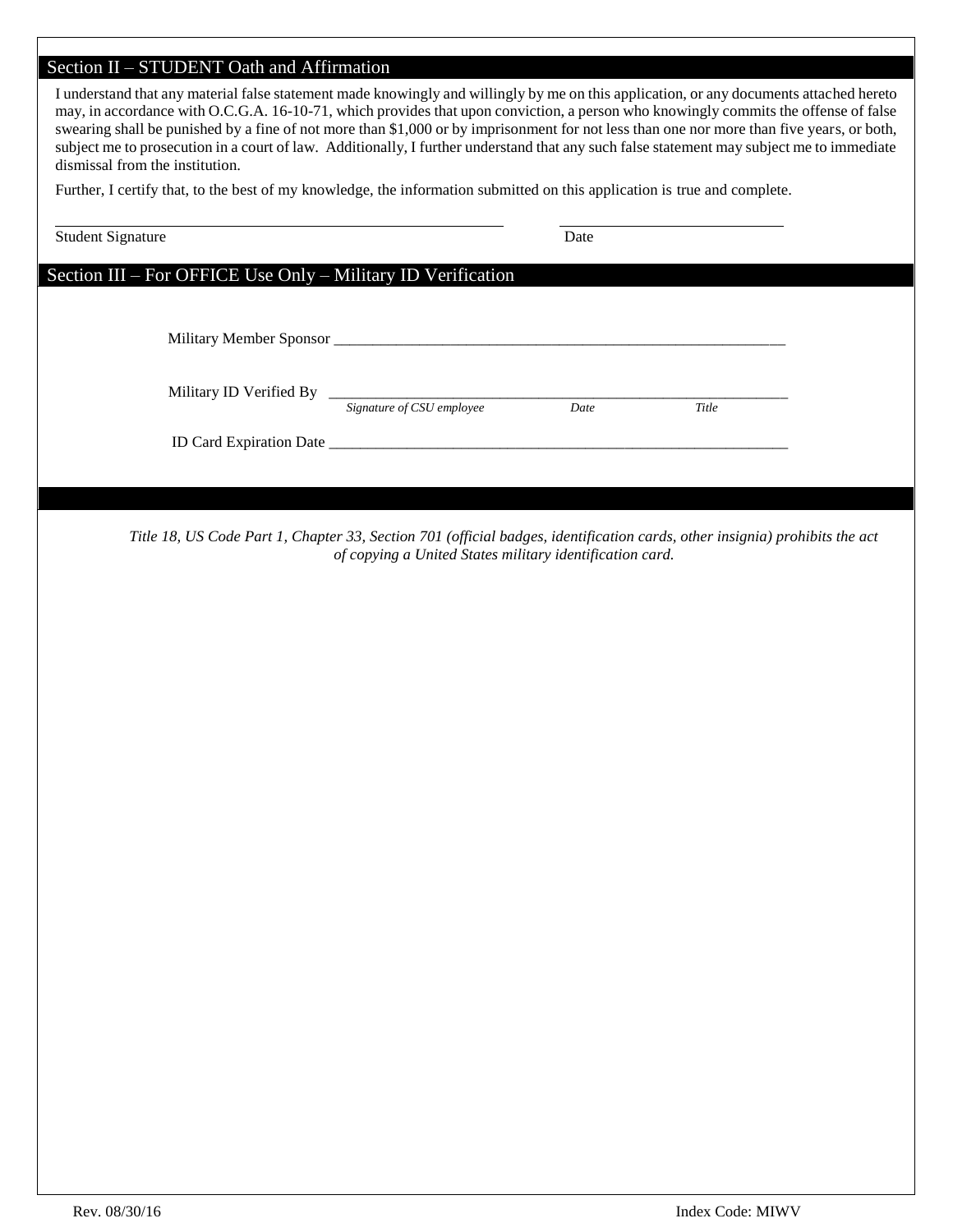# Section II – STUDENT Oath and Affirmation

| I understand that any material false statement made knowingly and willingly by me on this application, or any documents attached hereto<br>may, in accordance with O.C.G.A. 16-10-71, which provides that upon conviction, a person who knowingly commits the offense of false<br>swearing shall be punished by a fine of not more than \$1,000 or by imprisonment for not less than one nor more than five years, or both,<br>subject me to prosecution in a court of law. Additionally, I further understand that any such false statement may subject me to immediate<br>dismissal from the institution. |                                                           |      |       |  |  |  |
|-------------------------------------------------------------------------------------------------------------------------------------------------------------------------------------------------------------------------------------------------------------------------------------------------------------------------------------------------------------------------------------------------------------------------------------------------------------------------------------------------------------------------------------------------------------------------------------------------------------|-----------------------------------------------------------|------|-------|--|--|--|
| Further, I certify that, to the best of my knowledge, the information submitted on this application is true and complete.                                                                                                                                                                                                                                                                                                                                                                                                                                                                                   |                                                           |      |       |  |  |  |
| <b>Student Signature</b>                                                                                                                                                                                                                                                                                                                                                                                                                                                                                                                                                                                    |                                                           | Date |       |  |  |  |
| Section III - For OFFICE Use Only - Military ID Verification                                                                                                                                                                                                                                                                                                                                                                                                                                                                                                                                                |                                                           |      |       |  |  |  |
|                                                                                                                                                                                                                                                                                                                                                                                                                                                                                                                                                                                                             |                                                           |      |       |  |  |  |
|                                                                                                                                                                                                                                                                                                                                                                                                                                                                                                                                                                                                             | Military ID Verified By<br>Signature of CSU employee Date |      | Title |  |  |  |
|                                                                                                                                                                                                                                                                                                                                                                                                                                                                                                                                                                                                             |                                                           |      |       |  |  |  |
|                                                                                                                                                                                                                                                                                                                                                                                                                                                                                                                                                                                                             |                                                           |      |       |  |  |  |
| Title 18, US Code Part 1, Chapter 33, Section 701 (official badges, identification cards, other insignia) prohibits the act                                                                                                                                                                                                                                                                                                                                                                                                                                                                                 | of copying a United States military identification card.  |      |       |  |  |  |
|                                                                                                                                                                                                                                                                                                                                                                                                                                                                                                                                                                                                             |                                                           |      |       |  |  |  |
|                                                                                                                                                                                                                                                                                                                                                                                                                                                                                                                                                                                                             |                                                           |      |       |  |  |  |
|                                                                                                                                                                                                                                                                                                                                                                                                                                                                                                                                                                                                             |                                                           |      |       |  |  |  |
|                                                                                                                                                                                                                                                                                                                                                                                                                                                                                                                                                                                                             |                                                           |      |       |  |  |  |
|                                                                                                                                                                                                                                                                                                                                                                                                                                                                                                                                                                                                             |                                                           |      |       |  |  |  |
|                                                                                                                                                                                                                                                                                                                                                                                                                                                                                                                                                                                                             |                                                           |      |       |  |  |  |
|                                                                                                                                                                                                                                                                                                                                                                                                                                                                                                                                                                                                             |                                                           |      |       |  |  |  |
|                                                                                                                                                                                                                                                                                                                                                                                                                                                                                                                                                                                                             |                                                           |      |       |  |  |  |
|                                                                                                                                                                                                                                                                                                                                                                                                                                                                                                                                                                                                             |                                                           |      |       |  |  |  |
|                                                                                                                                                                                                                                                                                                                                                                                                                                                                                                                                                                                                             |                                                           |      |       |  |  |  |
|                                                                                                                                                                                                                                                                                                                                                                                                                                                                                                                                                                                                             |                                                           |      |       |  |  |  |
|                                                                                                                                                                                                                                                                                                                                                                                                                                                                                                                                                                                                             |                                                           |      |       |  |  |  |
|                                                                                                                                                                                                                                                                                                                                                                                                                                                                                                                                                                                                             |                                                           |      |       |  |  |  |